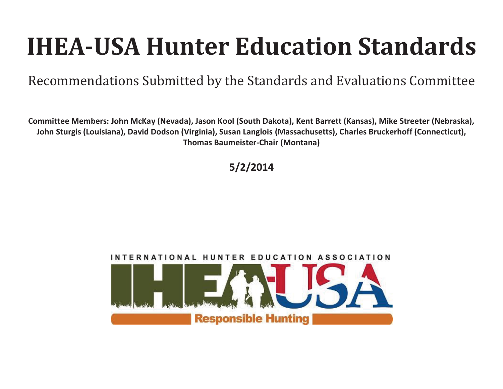# **IHEA-USA Hunter Education Standards**

Recommendations Submitted by the Standards and Evaluations Committee

**Committee Members: John McKay (Nevada), Jason Kool (South Dakota), Kent Barrett (Kansas), Mike Streeter (Nebraska), John Sturgis (Louisiana), David Dodson (Virginia), Susan Langlois (Massachusetts), Charles Bruckerhoff (Connecticut), Thomas Baumeister-Chair (Montana)** 

## **5/2/2014**

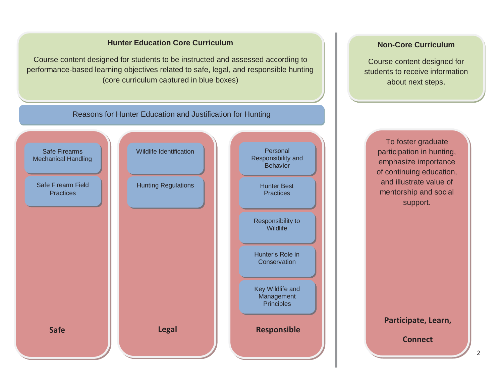#### **Hunter Education Core Curriculum**

Course content designed for students to be instructed and assessed according to performance-based learning objectives related to safe, legal, and responsible hunting (core curriculum captured in blue boxes)

#### **Non-Core Curriculum**

Course content designed for students to receive information about next steps.



To foster graduate participation in hunting, emphasize importance of continuing education, and illustrate value of mentorship and social support.

**Participate, Learn,** 

**Connect**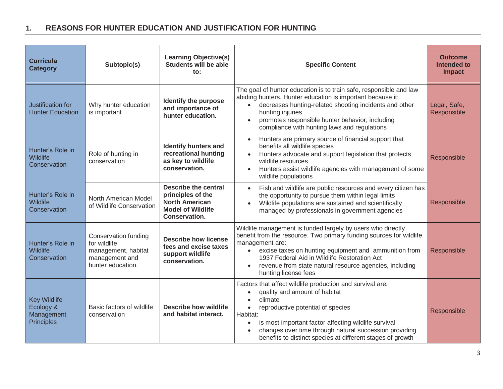#### **1. REASONS FOR HUNTER EDUCATION AND JUSTIFICATION FOR HUNTING**

| <b>Curricula</b><br><b>Category</b>                          | Subtopic(s)                                                                                        | <b>Learning Objective(s)</b><br><b>Students will be able</b><br>$\mathbf{to}$ :                                        | <b>Specific Content</b>                                                                                                                                                                                                                                                                                                                                          | <b>Outcome</b><br>Intended to<br><b>Impact</b> |
|--------------------------------------------------------------|----------------------------------------------------------------------------------------------------|------------------------------------------------------------------------------------------------------------------------|------------------------------------------------------------------------------------------------------------------------------------------------------------------------------------------------------------------------------------------------------------------------------------------------------------------------------------------------------------------|------------------------------------------------|
| Justification for<br><b>Hunter Education</b>                 | Why hunter education<br>is important                                                               | Identify the purpose<br>and importance of<br>hunter education.                                                         | The goal of hunter education is to train safe, responsible and law<br>abiding hunters. Hunter education is important because it:<br>decreases hunting-related shooting incidents and other<br>hunting injuries<br>promotes responsible hunter behavior, including<br>compliance with hunting laws and regulations                                                | Legal, Safe,<br>Responsible                    |
| Hunter's Role in<br>Wildlife<br>Conservation                 | Role of hunting in<br>conservation                                                                 | <b>Identify hunters and</b><br>recreational hunting<br>as key to wildlife<br>conservation.                             | Hunters are primary source of financial support that<br>$\bullet$<br>benefits all wildlife species<br>Hunters advocate and support legislation that protects<br>$\bullet$<br>wildlife resources<br>Hunters assist wildlife agencies with management of some<br>wildlife populations                                                                              | Responsible                                    |
| Hunter's Role in<br><b>Wildlife</b><br>Conservation          | North American Model<br>of Wildlife Conservation                                                   | <b>Describe the central</b><br>principles of the<br><b>North American</b><br><b>Model of Wildlife</b><br>Conservation. | Fish and wildlife are public resources and every citizen has<br>the opportunity to pursue them within legal limits<br>Wildlife populations are sustained and scientifically<br>managed by professionals in government agencies                                                                                                                                   | Responsible                                    |
| Hunter's Role in<br>Wildlife<br>Conservation                 | Conservation funding<br>for wildlife<br>management, habitat<br>management and<br>hunter education. | <b>Describe how license</b><br>fees and excise taxes<br>support wildlife<br>conservation.                              | Wildlife management is funded largely by users who directly<br>benefit from the resource. Two primary funding sources for wildlife<br>management are:<br>excise taxes on hunting equipment and ammunition from<br>$\bullet$<br>1937 Federal Aid in Wildlife Restoration Act<br>revenue from state natural resource agencies, including<br>hunting license fees   | Responsible                                    |
| <b>Key Wildlife</b><br>Ecology &<br>Management<br>Principles | Basic factors of wildlife<br>conservation                                                          | <b>Describe how wildlife</b><br>and habitat interact.                                                                  | Factors that affect wildlife production and survival are:<br>quality and amount of habitat<br>climate<br>reproductive potential of species<br>$\bullet$<br>Habitat:<br>is most important factor affecting wildlife survival<br>$\bullet$<br>changes over time through natural succession providing<br>benefits to distinct species at different stages of growth | Responsible                                    |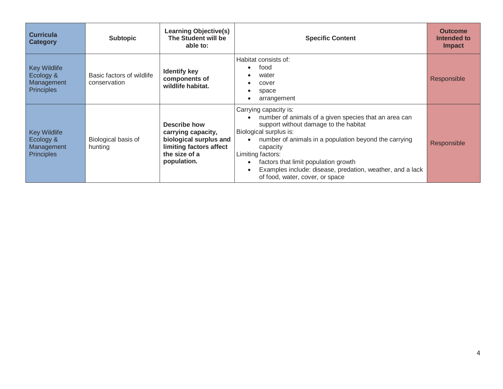| <b>Curricula</b><br><b>Category</b>                          | <b>Subtopic</b>                           | <b>Learning Objective(s)</b><br>The Student will be<br>able to:                                                         | <b>Specific Content</b>                                                                                                                                                                                                                                                                                                                                                             | <b>Outcome</b><br>Intended to<br><b>Impact</b> |
|--------------------------------------------------------------|-------------------------------------------|-------------------------------------------------------------------------------------------------------------------------|-------------------------------------------------------------------------------------------------------------------------------------------------------------------------------------------------------------------------------------------------------------------------------------------------------------------------------------------------------------------------------------|------------------------------------------------|
| <b>Key Wildlife</b><br>Ecology &<br>Management<br>Principles | Basic factors of wildlife<br>conservation | <b>Identify key</b><br>components of<br>wildlife habitat.                                                               | Habitat consists of:<br>food<br>water<br>cover<br>space<br>arrangement                                                                                                                                                                                                                                                                                                              | Responsible                                    |
| <b>Key Wildlife</b><br>Ecology &<br>Management<br>Principles | Biological basis of<br>hunting            | Describe how<br>carrying capacity,<br>biological surplus and<br>limiting factors affect<br>the size of a<br>population. | Carrying capacity is:<br>number of animals of a given species that an area can<br>support without damage to the habitat<br>Biological surplus is:<br>number of animals in a population beyond the carrying<br>capacity<br>Limiting factors:<br>factors that limit population growth<br>Examples include: disease, predation, weather, and a lack<br>of food, water, cover, or space | Responsible                                    |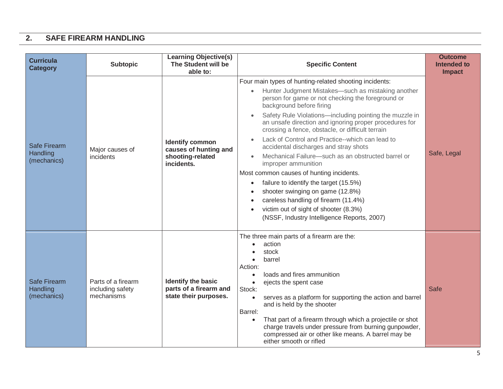#### **2. SAFE FIREARM HANDLING**

| <b>Curricula</b><br><b>Category</b>            | <b>Subtopic</b>                                      | <b>Learning Objective(s)</b><br>The Student will be<br>able to:                   | <b>Specific Content</b>                                                                                                                                                                                                                                                                                                                                                                                                                                                                                                                                                                                                                                                                                                                                                                                                                                                                 | <b>Outcome</b><br><b>Intended to</b><br><b>Impact</b> |
|------------------------------------------------|------------------------------------------------------|-----------------------------------------------------------------------------------|-----------------------------------------------------------------------------------------------------------------------------------------------------------------------------------------------------------------------------------------------------------------------------------------------------------------------------------------------------------------------------------------------------------------------------------------------------------------------------------------------------------------------------------------------------------------------------------------------------------------------------------------------------------------------------------------------------------------------------------------------------------------------------------------------------------------------------------------------------------------------------------------|-------------------------------------------------------|
| <b>Safe Firearm</b><br>Handling<br>(mechanics) | Major causes of<br>incidents                         | <b>Identify common</b><br>causes of hunting and<br>shooting-related<br>incidents. | Four main types of hunting-related shooting incidents:<br>Hunter Judgment Mistakes-such as mistaking another<br>$\bullet$<br>person for game or not checking the foreground or<br>background before firing<br>Safety Rule Violations-including pointing the muzzle in<br>$\bullet$<br>an unsafe direction and ignoring proper procedures for<br>crossing a fence, obstacle, or difficult terrain<br>Lack of Control and Practice--which can lead to<br>$\bullet$<br>accidental discharges and stray shots<br>Mechanical Failure-such as an obstructed barrel or<br>$\bullet$<br>improper ammunition<br>Most common causes of hunting incidents.<br>failure to identify the target (15.5%)<br>$\bullet$<br>shooter swinging on game (12.8%)<br>$\bullet$<br>careless handling of firearm (11.4%)<br>victim out of sight of shooter (8.3%)<br>(NSSF, Industry Intelligence Reports, 2007) | Safe, Legal                                           |
| <b>Safe Firearm</b><br>Handling<br>(mechanics) | Parts of a firearm<br>including safety<br>mechanisms | Identify the basic<br>parts of a firearm and<br>state their purposes.             | The three main parts of a firearm are the:<br>action<br>stock<br>barrel<br>Action:<br>loads and fires ammunition<br>$\bullet$<br>ejects the spent case<br>Stock:<br>serves as a platform for supporting the action and barrel<br>$\bullet$<br>and is held by the shooter<br>Barrel:<br>That part of a firearm through which a projectile or shot<br>charge travels under pressure from burning gunpowder,<br>compressed air or other like means. A barrel may be<br>either smooth or rifled                                                                                                                                                                                                                                                                                                                                                                                             | <b>Safe</b>                                           |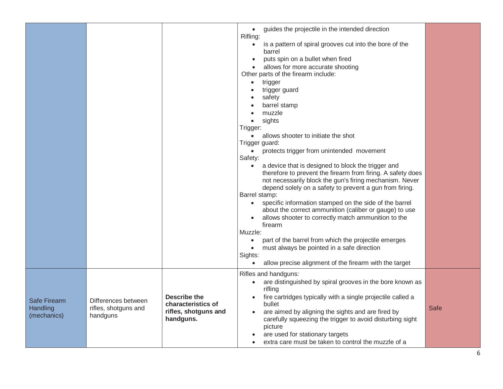|                                         |                                                         |                                                                         | guides the projectile in the intended direction<br>$\bullet$<br>Rifling:<br>is a pattern of spiral grooves cut into the bore of the<br>$\bullet$<br>barrel<br>puts spin on a bullet when fired<br>allows for more accurate shooting<br>Other parts of the firearm include:<br>trigger<br>$\bullet$<br>trigger guard<br>$\bullet$<br>safety<br>$\bullet$<br>barrel stamp<br>muzzle<br>$\bullet$<br>sights<br>$\bullet$<br>Trigger:<br>allows shooter to initiate the shot<br>$\bullet$<br>Trigger guard:<br>protects trigger from unintended movement<br>$\bullet$<br>Safety:<br>a device that is designed to block the trigger and<br>$\bullet$<br>therefore to prevent the firearm from firing. A safety does<br>not necessarily block the gun's firing mechanism. Never<br>depend solely on a safety to prevent a gun from firing.<br>Barrel stamp:<br>specific information stamped on the side of the barrel<br>$\bullet$<br>about the correct ammunition (caliber or gauge) to use<br>allows shooter to correctly match ammunition to the<br>firearm<br>Muzzle:<br>part of the barrel from which the projectile emerges<br>$\bullet$<br>must always be pointed in a safe direction<br>$\bullet$<br>Sights:<br>allow precise alignment of the firearm with the target<br>$\bullet$ |             |
|-----------------------------------------|---------------------------------------------------------|-------------------------------------------------------------------------|---------------------------------------------------------------------------------------------------------------------------------------------------------------------------------------------------------------------------------------------------------------------------------------------------------------------------------------------------------------------------------------------------------------------------------------------------------------------------------------------------------------------------------------------------------------------------------------------------------------------------------------------------------------------------------------------------------------------------------------------------------------------------------------------------------------------------------------------------------------------------------------------------------------------------------------------------------------------------------------------------------------------------------------------------------------------------------------------------------------------------------------------------------------------------------------------------------------------------------------------------------------------------------------|-------------|
| Safe Firearm<br>Handling<br>(mechanics) | Differences between<br>rifles, shotguns and<br>handguns | Describe the<br>characteristics of<br>rifles, shotguns and<br>handguns. | Rifles and handguns:<br>are distinguished by spiral grooves in the bore known as<br>$\bullet$<br>rifling<br>fire cartridges typically with a single projectile called a<br>bullet<br>are aimed by aligning the sights and are fired by<br>$\bullet$<br>carefully squeezing the trigger to avoid disturbing sight<br>picture<br>are used for stationary targets<br>extra care must be taken to control the muzzle of a                                                                                                                                                                                                                                                                                                                                                                                                                                                                                                                                                                                                                                                                                                                                                                                                                                                                 | <b>Safe</b> |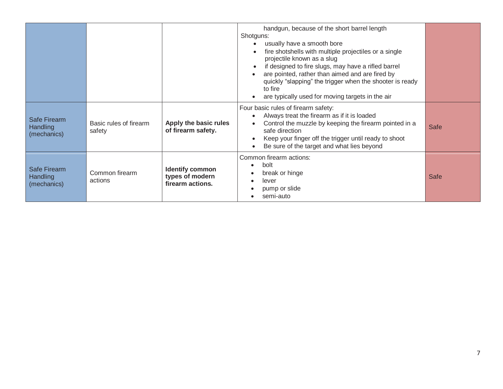|                                                |                                  |                                                               | handgun, because of the short barrel length<br>Shotguns:<br>usually have a smooth bore<br>fire shotshells with multiple projectiles or a single<br>projectile known as a slug<br>if designed to fire slugs, may have a rifled barrel<br>$\bullet$<br>are pointed, rather than aimed and are fired by<br>quickly "slapping" the trigger when the shooter is ready<br>to fire<br>are typically used for moving targets in the air |             |
|------------------------------------------------|----------------------------------|---------------------------------------------------------------|---------------------------------------------------------------------------------------------------------------------------------------------------------------------------------------------------------------------------------------------------------------------------------------------------------------------------------------------------------------------------------------------------------------------------------|-------------|
| Safe Firearm<br><b>Handling</b><br>(mechanics) | Basic rules of firearm<br>safety | Apply the basic rules<br>of firearm safety.                   | Four basic rules of firearm safety:<br>Always treat the firearm as if it is loaded<br>$\bullet$<br>Control the muzzle by keeping the firearm pointed in a<br>$\bullet$<br>safe direction<br>Keep your finger off the trigger until ready to shoot<br>$\bullet$<br>Be sure of the target and what lies beyond<br>$\bullet$                                                                                                       | <b>Safe</b> |
| Safe Firearm<br><b>Handling</b><br>(mechanics) | Common firearm<br>actions        | <b>Identify common</b><br>types of modern<br>firearm actions. | Common firearm actions:<br>bolt<br>$\bullet$<br>break or hinge<br>lever<br>pump or slide<br>semi-auto                                                                                                                                                                                                                                                                                                                           | <b>Safe</b> |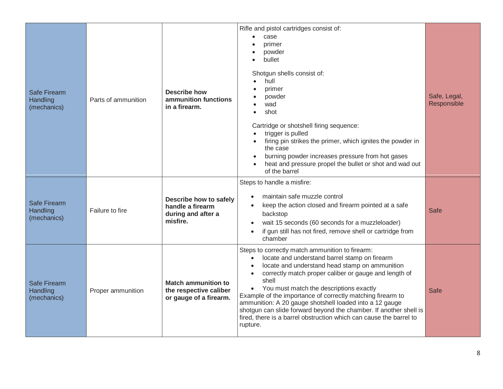| <b>Safe Firearm</b><br>Handling<br>(mechanics) | Parts of ammunition | <b>Describe how</b><br>ammunition functions<br>in a firearm.                   | Rifle and pistol cartridges consist of:<br>case<br>primer<br>powder<br>bullet<br>Shotgun shells consist of:<br>hull<br>primer<br>powder<br>wad<br>shot<br>$\bullet$<br>Cartridge or shotshell firing sequence:<br>trigger is pulled<br>$\bullet$<br>firing pin strikes the primer, which ignites the powder in<br>the case<br>burning powder increases pressure from hot gases<br>heat and pressure propel the bullet or shot and wad out<br>$\bullet$<br>of the barrel                                                                                                   | Safe, Legal,<br>Responsible |
|------------------------------------------------|---------------------|--------------------------------------------------------------------------------|---------------------------------------------------------------------------------------------------------------------------------------------------------------------------------------------------------------------------------------------------------------------------------------------------------------------------------------------------------------------------------------------------------------------------------------------------------------------------------------------------------------------------------------------------------------------------|-----------------------------|
| <b>Safe Firearm</b><br>Handling<br>(mechanics) | Failure to fire     | Describe how to safely<br>handle a firearm<br>during and after a<br>misfire.   | Steps to handle a misfire:<br>maintain safe muzzle control<br>keep the action closed and firearm pointed at a safe<br>backstop<br>wait 15 seconds (60 seconds for a muzzleloader)<br>if gun still has not fired, remove shell or cartridge from<br>$\bullet$<br>chamber                                                                                                                                                                                                                                                                                                   | Safe                        |
| Safe Firearm<br>Handling<br>(mechanics)        | Proper ammunition   | <b>Match ammunition to</b><br>the respective caliber<br>or gauge of a firearm. | Steps to correctly match ammunition to firearm:<br>locate and understand barrel stamp on firearm<br>$\bullet$<br>locate and understand head stamp on ammunition<br>correctly match proper caliber or gauge and length of<br>shell<br>You must match the descriptions exactly<br>$\bullet$<br>Example of the importance of correctly matching firearm to<br>ammunition: A 20 gauge shotshell loaded into a 12 gauge<br>shotgun can slide forward beyond the chamber. If another shell is<br>fired, there is a barrel obstruction which can cause the barrel to<br>rupture. | <b>Safe</b>                 |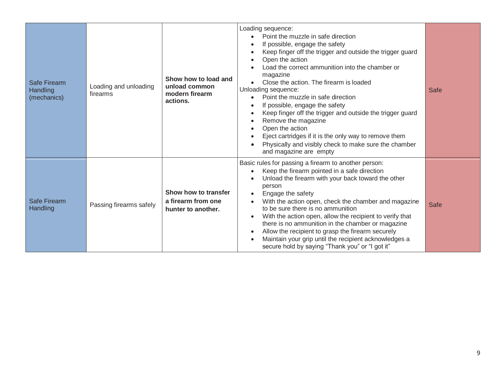| <b>Safe Firearm</b><br>Handling<br>(mechanics) | Loading and unloading<br>firearms | Show how to load and<br>unload common<br>modern firearm<br>actions. | Loading sequence:<br>Point the muzzle in safe direction<br>$\bullet$<br>If possible, engage the safety<br>$\bullet$<br>Keep finger off the trigger and outside the trigger guard<br>Open the action<br>$\bullet$<br>Load the correct ammunition into the chamber or<br>magazine<br>Close the action. The firearm is loaded<br>$\bullet$<br>Unloading sequence:<br>Point the muzzle in safe direction<br>$\bullet$<br>If possible, engage the safety<br>Keep finger off the trigger and outside the trigger guard<br>$\bullet$<br>Remove the magazine<br>$\bullet$<br>Open the action<br>$\bullet$<br>Eject cartridges if it is the only way to remove them<br>Physically and visibly check to make sure the chamber<br>and magazine are empty | Safe        |
|------------------------------------------------|-----------------------------------|---------------------------------------------------------------------|-----------------------------------------------------------------------------------------------------------------------------------------------------------------------------------------------------------------------------------------------------------------------------------------------------------------------------------------------------------------------------------------------------------------------------------------------------------------------------------------------------------------------------------------------------------------------------------------------------------------------------------------------------------------------------------------------------------------------------------------------|-------------|
| Safe Firearm<br>Handling                       | Passing firearms safely           | Show how to transfer<br>a firearm from one<br>hunter to another.    | Basic rules for passing a firearm to another person:<br>Keep the firearm pointed in a safe direction<br>$\bullet$<br>Unload the firearm with your back toward the other<br>person<br>Engage the safety<br>$\bullet$<br>With the action open, check the chamber and magazine<br>$\bullet$<br>to be sure there is no ammunition<br>With the action open, allow the recipient to verify that<br>$\bullet$<br>there is no ammunition in the chamber or magazine<br>Allow the recipient to grasp the firearm securely<br>$\bullet$<br>Maintain your grip until the recipient acknowledges a<br>$\bullet$<br>secure hold by saying "Thank you" or "I got it"                                                                                        | <b>Safe</b> |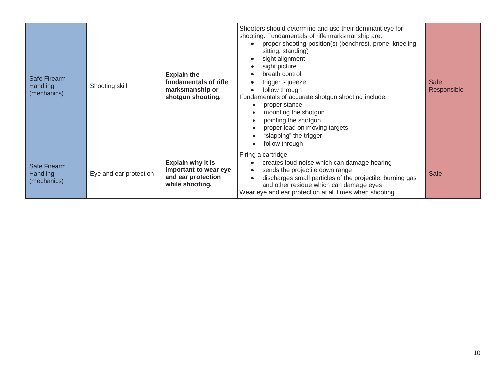| Safe Firearm<br>Handling<br>(mechanics)        | Shooting skill         | <b>Explain the</b><br>fundamentals of rifle<br>marksmanship or<br>shotgun shooting. | Shooters should determine and use their dominant eye for<br>shooting. Fundamentals of rifle marksmanship are:<br>proper shooting position(s) (benchrest, prone, kneeling,<br>sitting, standing)<br>sight alignment<br>sight picture<br>breath control<br>trigger squeeze<br>follow through<br>Fundamentals of accurate shotgun shooting include:<br>proper stance<br>$\bullet$<br>mounting the shotgun<br>$\bullet$<br>pointing the shotgun<br>proper lead on moving targets<br>"slapping" the trigger<br>$\bullet$<br>follow through<br>$\bullet$ | Safe,<br>Responsible |
|------------------------------------------------|------------------------|-------------------------------------------------------------------------------------|----------------------------------------------------------------------------------------------------------------------------------------------------------------------------------------------------------------------------------------------------------------------------------------------------------------------------------------------------------------------------------------------------------------------------------------------------------------------------------------------------------------------------------------------------|----------------------|
| <b>Safe Firearm</b><br>Handling<br>(mechanics) | Eye and ear protection | Explain why it is<br>important to wear eye<br>and ear protection<br>while shooting. | Firing a cartridge:<br>creates loud noise which can damage hearing<br>sends the projectile down range<br>discharges small particles of the projectile, burning gas<br>and other residue which can damage eyes<br>Wear eye and ear protection at all times when shooting                                                                                                                                                                                                                                                                            | <b>Safe</b>          |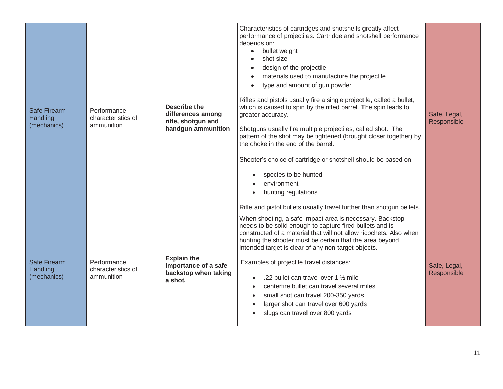| <b>Safe Firearm</b><br>Handling<br>(mechanics) | Performance<br>characteristics of<br>ammunition | <b>Describe the</b><br>differences among<br>rifle, shotgun and<br>handgun ammunition | Characteristics of cartridges and shotshells greatly affect<br>performance of projectiles. Cartridge and shotshell performance<br>depends on:<br>bullet weight<br>$\bullet$<br>shot size<br>design of the projectile<br>materials used to manufacture the projectile<br>$\bullet$<br>type and amount of gun powder<br>$\bullet$<br>Rifles and pistols usually fire a single projectile, called a bullet,<br>which is caused to spin by the rifled barrel. The spin leads to<br>greater accuracy.<br>Shotguns usually fire multiple projectiles, called shot. The<br>pattern of the shot may be tightened (brought closer together) by<br>the choke in the end of the barrel.<br>Shooter's choice of cartridge or shotshell should be based on:<br>species to be hunted<br>environment<br>hunting regulations<br>$\bullet$<br>Rifle and pistol bullets usually travel further than shotgun pellets. | Safe, Legal,<br>Responsible |
|------------------------------------------------|-------------------------------------------------|--------------------------------------------------------------------------------------|----------------------------------------------------------------------------------------------------------------------------------------------------------------------------------------------------------------------------------------------------------------------------------------------------------------------------------------------------------------------------------------------------------------------------------------------------------------------------------------------------------------------------------------------------------------------------------------------------------------------------------------------------------------------------------------------------------------------------------------------------------------------------------------------------------------------------------------------------------------------------------------------------|-----------------------------|
| Safe Firearm<br>Handling<br>(mechanics)        | Performance<br>characteristics of<br>ammunition | <b>Explain the</b><br>importance of a safe<br>backstop when taking<br>a shot.        | When shooting, a safe impact area is necessary. Backstop<br>needs to be solid enough to capture fired bullets and is<br>constructed of a material that will not allow ricochets. Also when<br>hunting the shooter must be certain that the area beyond<br>intended target is clear of any non-target objects.<br>Examples of projectile travel distances:<br>.22 bullet can travel over 1 1/2 mile<br>$\bullet$<br>centerfire bullet can travel several miles<br>$\bullet$<br>small shot can travel 200-350 yards<br>$\bullet$<br>larger shot can travel over 600 yards<br>$\bullet$<br>slugs can travel over 800 yards                                                                                                                                                                                                                                                                            | Safe, Legal,<br>Responsible |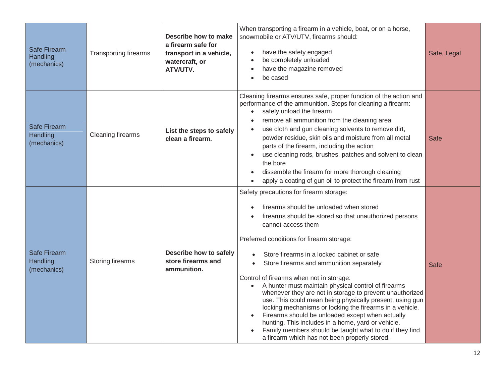| <b>Safe Firearm</b><br>Handling<br>(mechanics) | <b>Transporting firearms</b> | Describe how to make<br>a firearm safe for<br>transport in a vehicle,<br>watercraft, or<br>ATV/UTV. | When transporting a firearm in a vehicle, boat, or on a horse,<br>snowmobile or ATV/UTV, firearms should:<br>have the safety engaged<br>$\bullet$<br>be completely unloaded<br>have the magazine removed<br>be cased                                                                                                                                                                                                                                                                                                                                                                                                                                                                                                                                                                                                                                          | Safe, Legal |
|------------------------------------------------|------------------------------|-----------------------------------------------------------------------------------------------------|---------------------------------------------------------------------------------------------------------------------------------------------------------------------------------------------------------------------------------------------------------------------------------------------------------------------------------------------------------------------------------------------------------------------------------------------------------------------------------------------------------------------------------------------------------------------------------------------------------------------------------------------------------------------------------------------------------------------------------------------------------------------------------------------------------------------------------------------------------------|-------------|
| <b>Safe Firearm</b><br>Handling<br>(mechanics) | <b>Cleaning firearms</b>     | List the steps to safely<br>clean a firearm.                                                        | Cleaning firearms ensures safe, proper function of the action and<br>performance of the ammunition. Steps for cleaning a firearm:<br>safely unload the firearm<br>$\bullet$<br>remove all ammunition from the cleaning area<br>use cloth and gun cleaning solvents to remove dirt,<br>powder residue, skin oils and moisture from all metal<br>parts of the firearm, including the action<br>use cleaning rods, brushes, patches and solvent to clean<br>the bore<br>dissemble the firearm for more thorough cleaning<br>apply a coating of gun oil to protect the firearm from rust                                                                                                                                                                                                                                                                          | <b>Safe</b> |
| <b>Safe Firearm</b><br>Handling<br>(mechanics) | Storing firearms             | Describe how to safely<br>store firearms and<br>ammunition.                                         | Safety precautions for firearm storage:<br>firearms should be unloaded when stored<br>firearms should be stored so that unauthorized persons<br>cannot access them<br>Preferred conditions for firearm storage:<br>Store firearms in a locked cabinet or safe<br>Store firearms and ammunition separately<br>$\bullet$<br>Control of firearms when not in storage:<br>A hunter must maintain physical control of firearms<br>$\bullet$<br>whenever they are not in storage to prevent unauthorized<br>use. This could mean being physically present, using gun<br>locking mechanisms or locking the firearms in a vehicle.<br>Firearms should be unloaded except when actually<br>$\bullet$<br>hunting. This includes in a home, yard or vehicle.<br>Family members should be taught what to do if they find<br>a firearm which has not been properly stored. | Safe        |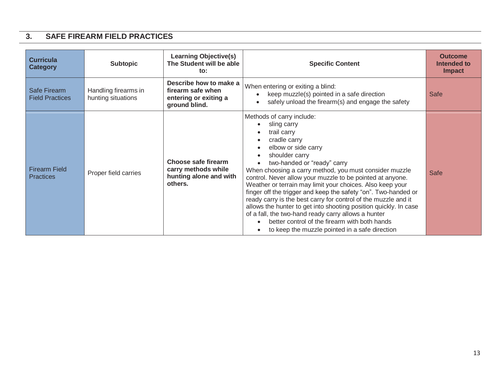#### **3. SAFE FIREARM FIELD PRACTICES**

| <b>Curricula</b><br><b>Category</b>      | <b>Subtopic</b>                            | <b>Learning Objective(s)</b><br>The Student will be able<br>to:                       | <b>Specific Content</b>                                                                                                                                                                                                                                                                                                                                                                                                                                                                                                                                                                                                                                                                               | <b>Outcome</b><br>Intended to<br><b>Impact</b> |
|------------------------------------------|--------------------------------------------|---------------------------------------------------------------------------------------|-------------------------------------------------------------------------------------------------------------------------------------------------------------------------------------------------------------------------------------------------------------------------------------------------------------------------------------------------------------------------------------------------------------------------------------------------------------------------------------------------------------------------------------------------------------------------------------------------------------------------------------------------------------------------------------------------------|------------------------------------------------|
| Safe Firearm<br><b>Field Practices</b>   | Handling firearms in<br>hunting situations | Describe how to make a<br>firearm safe when<br>entering or exiting a<br>ground blind. | When entering or exiting a blind:<br>keep muzzle(s) pointed in a safe direction<br>safely unload the firearm(s) and engage the safety                                                                                                                                                                                                                                                                                                                                                                                                                                                                                                                                                                 | <b>Safe</b>                                    |
| <b>Firearm Field</b><br><b>Practices</b> | Proper field carries                       | Choose safe firearm<br>carry methods while<br>hunting alone and with<br>others.       | Methods of carry include:<br>sling carry<br>trail carry<br>cradle carry<br>elbow or side carry<br>shoulder carry<br>two-handed or "ready" carry<br>When choosing a carry method, you must consider muzzle<br>control. Never allow your muzzle to be pointed at anyone.<br>Weather or terrain may limit your choices. Also keep your<br>finger off the trigger and keep the safety "on". Two-handed or<br>ready carry is the best carry for control of the muzzle and it<br>allows the hunter to get into shooting position quickly. In case<br>of a fall, the two-hand ready carry allows a hunter<br>better control of the firearm with both hands<br>to keep the muzzle pointed in a safe direction | <b>Safe</b>                                    |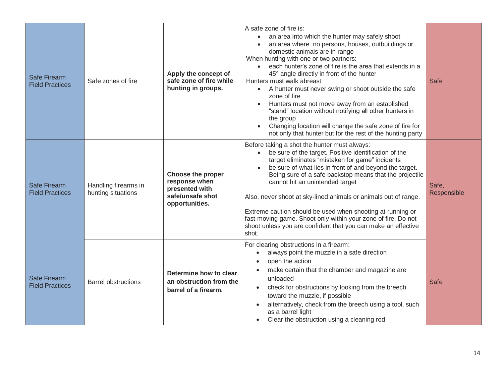| <b>Safe Firearm</b><br><b>Field Practices</b> | Safe zones of fire                         | Apply the concept of<br>safe zone of fire while<br>hunting in groups.                             | A safe zone of fire is:<br>an area into which the hunter may safely shoot<br>$\bullet$<br>an area where no persons, houses, outbuildings or<br>$\bullet$<br>domestic animals are in range<br>When hunting with one or two partners:<br>each hunter's zone of fire is the area that extends in a<br>45° angle directly in front of the hunter<br>Hunters must walk abreast<br>A hunter must never swing or shoot outside the safe<br>zone of fire<br>Hunters must not move away from an established<br>$\bullet$<br>"stand" location without notifying all other hunters in<br>the group<br>Changing location will change the safe zone of fire for<br>not only that hunter but for the rest of the hunting party | <b>Safe</b>          |
|-----------------------------------------------|--------------------------------------------|---------------------------------------------------------------------------------------------------|------------------------------------------------------------------------------------------------------------------------------------------------------------------------------------------------------------------------------------------------------------------------------------------------------------------------------------------------------------------------------------------------------------------------------------------------------------------------------------------------------------------------------------------------------------------------------------------------------------------------------------------------------------------------------------------------------------------|----------------------|
| Safe Firearm<br><b>Field Practices</b>        | Handling firearms in<br>hunting situations | <b>Choose the proper</b><br>response when<br>presented with<br>safe/unsafe shot<br>opportunities. | Before taking a shot the hunter must always:<br>be sure of the target. Positive identification of the<br>$\bullet$<br>target eliminates "mistaken for game" incidents<br>be sure of what lies in front of and beyond the target.<br>Being sure of a safe backstop means that the projectile<br>cannot hit an unintended target<br>Also, never shoot at sky-lined animals or animals out of range.<br>Extreme caution should be used when shooting at running or<br>fast-moving game. Shoot only within your zone of fire. Do not<br>shoot unless you are confident that you can make an effective<br>shot.                                                                                                       | Safe,<br>Responsible |
| <b>Safe Firearm</b><br><b>Field Practices</b> | <b>Barrel obstructions</b>                 | Determine how to clear<br>an obstruction from the<br>barrel of a firearm.                         | For clearing obstructions in a firearm:<br>always point the muzzle in a safe direction<br>open the action<br>make certain that the chamber and magazine are<br>unloaded<br>check for obstructions by looking from the breech<br>$\bullet$<br>toward the muzzle, if possible<br>alternatively, check from the breech using a tool, such<br>as a barrel light<br>Clear the obstruction using a cleaning rod                                                                                                                                                                                                                                                                                                        | <b>Safe</b>          |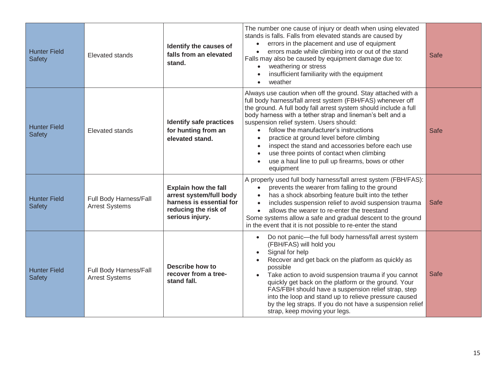| <b>Hunter Field</b><br><b>Safety</b> | <b>Elevated stands</b>                          | Identify the causes of<br>falls from an elevated<br>stand.                                                                    | The number one cause of injury or death when using elevated<br>stands is falls. Falls from elevated stands are caused by<br>errors in the placement and use of equipment<br>$\bullet$<br>errors made while climbing into or out of the stand<br>$\bullet$<br>Falls may also be caused by equipment damage due to:<br>weathering or stress<br>$\bullet$<br>insufficient familiarity with the equipment<br>$\bullet$<br>weather<br>$\bullet$                                                                                                                                                                                          | <b>Safe</b> |
|--------------------------------------|-------------------------------------------------|-------------------------------------------------------------------------------------------------------------------------------|-------------------------------------------------------------------------------------------------------------------------------------------------------------------------------------------------------------------------------------------------------------------------------------------------------------------------------------------------------------------------------------------------------------------------------------------------------------------------------------------------------------------------------------------------------------------------------------------------------------------------------------|-------------|
| <b>Hunter Field</b><br><b>Safety</b> | <b>Elevated stands</b>                          | <b>Identify safe practices</b><br>for hunting from an<br>elevated stand.                                                      | Always use caution when off the ground. Stay attached with a<br>full body harness/fall arrest system (FBH/FAS) whenever off<br>the ground. A full body fall arrest system should include a full<br>body harness with a tether strap and lineman's belt and a<br>suspension relief system. Users should:<br>follow the manufacturer's instructions<br>$\bullet$<br>practice at ground level before climbing<br>$\bullet$<br>inspect the stand and accessories before each use<br>$\bullet$<br>use three points of contact when climbing<br>$\bullet$<br>use a haul line to pull up firearms, bows or other<br>$\bullet$<br>equipment | Safe        |
| <b>Hunter Field</b><br><b>Safety</b> | Full Body Harness/Fall<br><b>Arrest Systems</b> | <b>Explain how the fall</b><br>arrest system/full body<br>harness is essential for<br>reducing the risk of<br>serious injury. | A properly used full body harness/fall arrest system (FBH/FAS):<br>prevents the wearer from falling to the ground<br>$\bullet$<br>has a shock absorbing feature built into the tether<br>$\bullet$<br>includes suspension relief to avoid suspension trauma<br>$\bullet$<br>allows the wearer to re-enter the treestand<br>$\bullet$<br>Some systems allow a safe and gradual descent to the ground<br>in the event that it is not possible to re-enter the stand                                                                                                                                                                   | <b>Safe</b> |
| <b>Hunter Field</b><br><b>Safety</b> | Full Body Harness/Fall<br><b>Arrest Systems</b> | <b>Describe how to</b><br>recover from a tree-<br>stand fall.                                                                 | Do not panic-the full body harness/fall arrest system<br>$\bullet$<br>(FBH/FAS) will hold you<br>Signal for help<br>$\bullet$<br>Recover and get back on the platform as quickly as<br>possible<br>Take action to avoid suspension trauma if you cannot<br>quickly get back on the platform or the ground. Your<br>FAS/FBH should have a suspension relief strap, step<br>into the loop and stand up to relieve pressure caused<br>by the leg straps. If you do not have a suspension relief<br>strap, keep moving your legs.                                                                                                       | <b>Safe</b> |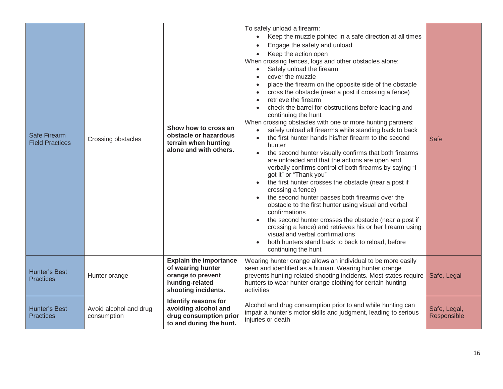| Safe Firearm<br><b>Field Practices</b>   | Crossing obstacles                    | Show how to cross an<br>obstacle or hazardous<br>terrain when hunting<br>alone and with others.                   | To safely unload a firearm:<br>Keep the muzzle pointed in a safe direction at all times<br>$\bullet$<br>Engage the safety and unload<br>Keep the action open<br>$\bullet$<br>When crossing fences, logs and other obstacles alone:<br>Safely unload the firearm<br>$\bullet$<br>cover the muzzle<br>$\bullet$<br>place the firearm on the opposite side of the obstacle<br>cross the obstacle (near a post if crossing a fence)<br>retrieve the firearm<br>check the barrel for obstructions before loading and<br>continuing the hunt<br>When crossing obstacles with one or more hunting partners:<br>safely unload all firearms while standing back to back<br>$\bullet$<br>the first hunter hands his/her firearm to the second<br>hunter<br>the second hunter visually confirms that both firearms<br>$\bullet$<br>are unloaded and that the actions are open and<br>verbally confirms control of both firearms by saying "I<br>got it" or "Thank you"<br>the first hunter crosses the obstacle (near a post if<br>crossing a fence)<br>the second hunter passes both firearms over the<br>obstacle to the first hunter using visual and verbal<br>confirmations<br>the second hunter crosses the obstacle (near a post if<br>crossing a fence) and retrieves his or her firearm using<br>visual and verbal confirmations<br>both hunters stand back to back to reload, before<br>continuing the hunt | Safe                        |
|------------------------------------------|---------------------------------------|-------------------------------------------------------------------------------------------------------------------|------------------------------------------------------------------------------------------------------------------------------------------------------------------------------------------------------------------------------------------------------------------------------------------------------------------------------------------------------------------------------------------------------------------------------------------------------------------------------------------------------------------------------------------------------------------------------------------------------------------------------------------------------------------------------------------------------------------------------------------------------------------------------------------------------------------------------------------------------------------------------------------------------------------------------------------------------------------------------------------------------------------------------------------------------------------------------------------------------------------------------------------------------------------------------------------------------------------------------------------------------------------------------------------------------------------------------------------------------------------------------------------------------------|-----------------------------|
| <b>Hunter's Best</b><br><b>Practices</b> | Hunter orange                         | <b>Explain the importance</b><br>of wearing hunter<br>orange to prevent<br>hunting-related<br>shooting incidents. | Wearing hunter orange allows an individual to be more easily<br>seen and identified as a human. Wearing hunter orange<br>prevents hunting-related shooting incidents. Most states require<br>hunters to wear hunter orange clothing for certain hunting<br>activities                                                                                                                                                                                                                                                                                                                                                                                                                                                                                                                                                                                                                                                                                                                                                                                                                                                                                                                                                                                                                                                                                                                                      | Safe, Legal                 |
| Hunter's Best<br><b>Practices</b>        | Avoid alcohol and drug<br>consumption | Identify reasons for<br>avoiding alcohol and<br>drug consumption prior<br>to and during the hunt.                 | Alcohol and drug consumption prior to and while hunting can<br>impair a hunter's motor skills and judgment, leading to serious<br>injuries or death                                                                                                                                                                                                                                                                                                                                                                                                                                                                                                                                                                                                                                                                                                                                                                                                                                                                                                                                                                                                                                                                                                                                                                                                                                                        | Safe, Legal,<br>Responsible |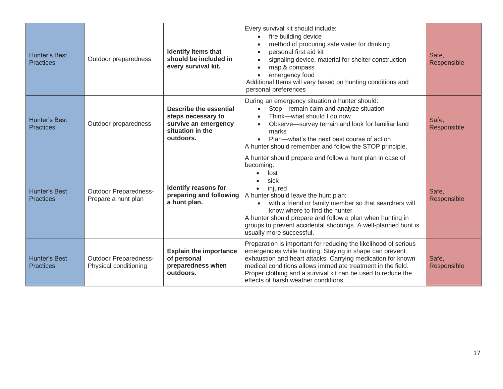| Hunter's Best<br><b>Practices</b>        | Outdoor preparedness                                  | <b>Identify items that</b><br>should be included in<br>every survival kit.                            | Every survival kit should include:<br>fire building device<br>method of procuring safe water for drinking<br>personal first aid kit<br>signaling device, material for shelter construction<br>map & compass<br>emergency food<br>Additional Items will vary based on hunting conditions and<br>personal preferences                                                                                                      | Safe,<br>Responsible |
|------------------------------------------|-------------------------------------------------------|-------------------------------------------------------------------------------------------------------|--------------------------------------------------------------------------------------------------------------------------------------------------------------------------------------------------------------------------------------------------------------------------------------------------------------------------------------------------------------------------------------------------------------------------|----------------------|
| <b>Hunter's Best</b><br><b>Practices</b> | Outdoor preparedness                                  | Describe the essential<br>steps necessary to<br>survive an emergency<br>situation in the<br>outdoors. | During an emergency situation a hunter should:<br>Stop-remain calm and analyze situation<br>Think-what should I do now<br>Observe-survey terrain and look for familiar land<br>marks<br>Plan—what's the next best course of action<br>$\bullet$<br>A hunter should remember and follow the STOP principle.                                                                                                               | Safe,<br>Responsible |
| <b>Hunter's Best</b><br><b>Practices</b> | <b>Outdoor Preparedness-</b><br>Prepare a hunt plan   | Identify reasons for<br>preparing and following<br>a hunt plan.                                       | A hunter should prepare and follow a hunt plan in case of<br>becoming:<br>lost<br>sick<br>injured<br>$\bullet$<br>A hunter should leave the hunt plan:<br>with a friend or family member so that searchers will<br>$\bullet$<br>know where to find the hunter<br>A hunter should prepare and follow a plan when hunting in<br>groups to prevent accidental shootings. A well-planned hunt is<br>usually more successful. | Safe,<br>Responsible |
| <b>Hunter's Best</b><br><b>Practices</b> | <b>Outdoor Preparedness-</b><br>Physical conditioning | <b>Explain the importance</b><br>of personal<br>preparedness when<br>outdoors.                        | Preparation is important for reducing the likelihood of serious<br>emergencies while hunting. Staying in shape can prevent<br>exhaustion and heart attacks. Carrying medication for known<br>medical conditions allows immediate treatment in the field.<br>Proper clothing and a survival kit can be used to reduce the<br>effects of harsh weather conditions.                                                         | Safe,<br>Responsible |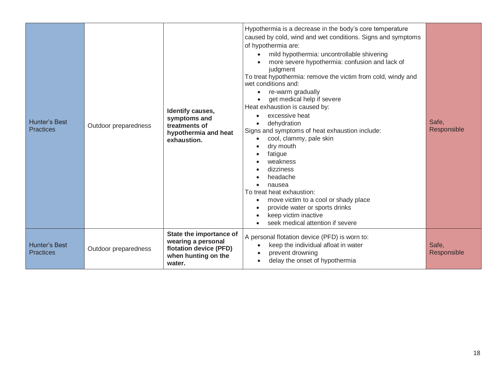| <b>Hunter's Best</b><br><b>Practices</b> | Outdoor preparedness | Identify causes,<br>symptoms and<br>treatments of<br>hypothermia and heat<br>exhaustion.                 | Hypothermia is a decrease in the body's core temperature<br>caused by cold, wind and wet conditions. Signs and symptoms<br>of hypothermia are:<br>mild hypothermia: uncontrollable shivering<br>$\bullet$<br>more severe hypothermia: confusion and lack of<br>judgment<br>To treat hypothermia: remove the victim from cold, windy and<br>wet conditions and:<br>re-warm gradually<br>$\bullet$<br>get medical help if severe<br>Heat exhaustion is caused by:<br>excessive heat<br>dehydration<br>Signs and symptoms of heat exhaustion include:<br>cool, clammy, pale skin<br>$\bullet$<br>dry mouth<br>fatigue<br>weakness<br>dizziness<br>headache<br>nausea<br>To treat heat exhaustion:<br>move victim to a cool or shady place<br>provide water or sports drinks<br>keep victim inactive<br>seek medical attention if severe | Safe,<br>Responsible |
|------------------------------------------|----------------------|----------------------------------------------------------------------------------------------------------|--------------------------------------------------------------------------------------------------------------------------------------------------------------------------------------------------------------------------------------------------------------------------------------------------------------------------------------------------------------------------------------------------------------------------------------------------------------------------------------------------------------------------------------------------------------------------------------------------------------------------------------------------------------------------------------------------------------------------------------------------------------------------------------------------------------------------------------|----------------------|
| <b>Hunter's Best</b><br><b>Practices</b> | Outdoor preparedness | State the importance of<br>wearing a personal<br>flotation device (PFD)<br>when hunting on the<br>water. | A personal flotation device (PFD) is worn to:<br>keep the individual afloat in water<br>$\bullet$<br>prevent drowning<br>delay the onset of hypothermia<br>$\bullet$                                                                                                                                                                                                                                                                                                                                                                                                                                                                                                                                                                                                                                                                 | Safe,<br>Responsible |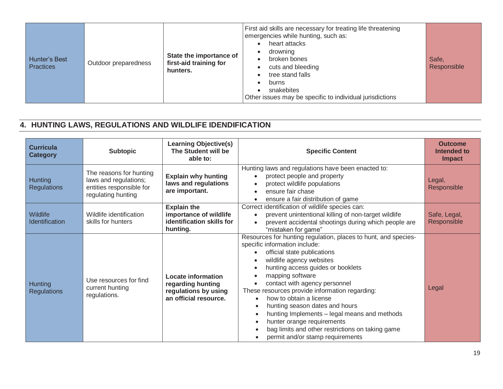| First aid skills are necessary for treating life threatening<br>emergencies while hunting, such as:<br>heart attacks<br>drowning<br>State the importance of<br>broken bones<br>Safe.<br>Hunter's Best<br>first-aid training for<br>Outdoor preparedness<br><b>Practices</b><br>Responsible<br>cuts and bleeding<br>hunters.<br>tree stand falls<br>burns<br>snakebites<br>Other issues may be specific to individual jurisdictions |  |
|------------------------------------------------------------------------------------------------------------------------------------------------------------------------------------------------------------------------------------------------------------------------------------------------------------------------------------------------------------------------------------------------------------------------------------|--|
|------------------------------------------------------------------------------------------------------------------------------------------------------------------------------------------------------------------------------------------------------------------------------------------------------------------------------------------------------------------------------------------------------------------------------------|--|

### **4. HUNTING LAWS, REGULATIONS AND WILDLIFE IDENDIFICATION**

| <b>Curricula</b><br><b>Category</b> | <b>Subtopic</b>                                                                                    | <b>Learning Objective(s)</b><br>The Student will be<br>able to:                          | <b>Specific Content</b>                                                                                                                                                                                                                                                                                                                                                                                                                                                                                                                   | <b>Outcome</b><br>Intended to<br><b>Impact</b> |
|-------------------------------------|----------------------------------------------------------------------------------------------------|------------------------------------------------------------------------------------------|-------------------------------------------------------------------------------------------------------------------------------------------------------------------------------------------------------------------------------------------------------------------------------------------------------------------------------------------------------------------------------------------------------------------------------------------------------------------------------------------------------------------------------------------|------------------------------------------------|
| Hunting<br><b>Regulations</b>       | The reasons for hunting<br>laws and regulations;<br>entities responsible for<br>regulating hunting | <b>Explain why hunting</b><br>laws and regulations<br>are important.                     | Hunting laws and regulations have been enacted to:<br>protect people and property<br>protect wildlife populations<br>ensure fair chase<br>ensure a fair distribution of game                                                                                                                                                                                                                                                                                                                                                              | Legal,<br>Responsible                          |
| Wildlife<br>Identification          | Wildlife identification<br>skills for hunters                                                      | <b>Explain the</b><br>importance of wildlife<br>identification skills for<br>hunting.    | Correct identification of wildlife species can:<br>prevent unintentional killing of non-target wildlife<br>prevent accidental shootings during which people are<br>$\bullet$<br>"mistaken for game"                                                                                                                                                                                                                                                                                                                                       | Safe, Legal,<br>Responsible                    |
| Hunting<br><b>Regulations</b>       | Use resources for find<br>current hunting<br>regulations.                                          | Locate information<br>regarding hunting<br>regulations by using<br>an official resource. | Resources for hunting regulation, places to hunt, and species-<br>specific information include:<br>official state publications<br>wildlife agency websites<br>hunting access guides or booklets<br>mapping software<br>contact with agency personnel<br>These resources provide information regarding:<br>how to obtain a license<br>hunting season dates and hours<br>hunting Implements - legal means and methods<br>hunter orange requirements<br>bag limits and other restrictions on taking game<br>permit and/or stamp requirements | Legal                                          |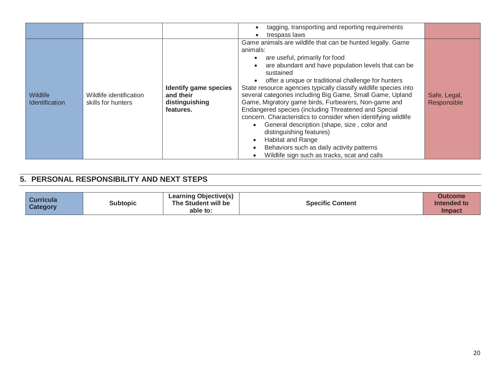|                                          |                                               |                                                                          | tagging, transporting and reporting requirements<br>trespass laws                                                                                                                                                                                                                                                                                                                                                                                                                                                                                                                                                                                                                                                                                                                                       |                             |
|------------------------------------------|-----------------------------------------------|--------------------------------------------------------------------------|---------------------------------------------------------------------------------------------------------------------------------------------------------------------------------------------------------------------------------------------------------------------------------------------------------------------------------------------------------------------------------------------------------------------------------------------------------------------------------------------------------------------------------------------------------------------------------------------------------------------------------------------------------------------------------------------------------------------------------------------------------------------------------------------------------|-----------------------------|
| <b>Wildlife</b><br><b>Identification</b> | Wildlife identification<br>skills for hunters | <b>Identify game species</b><br>and their<br>distinguishing<br>features. | Game animals are wildlife that can be hunted legally. Game<br>animals:<br>are useful, primarily for food<br>are abundant and have population levels that can be<br>sustained<br>offer a unique or traditional challenge for hunters<br>State resource agencies typically classify wildlife species into<br>several categories including Big Game, Small Game, Upland<br>Game, Migratory game birds, Furbearers, Non-game and<br>Endangered species (including Threatened and Special<br>concern. Characteristics to consider when identifying wildlife<br>General description (shape, size, color and<br>$\bullet$<br>distinguishing features)<br>Habitat and Range<br>$\bullet$<br>Behaviors such as daily activity patterns<br>$\bullet$<br>Wildlife sign such as tracks, scat and calls<br>$\bullet$ | Safe, Legal,<br>Responsible |

#### **5. PERSONAL RESPONSIBILITY AND NEXT STEPS**

| <b>Curricula</b><br><b>Category</b> | <b>Subtopic</b> | <b>Learning Objective(s)</b><br>The Student will be<br>able to: | <b>Specific Content</b> | Outcome<br>Intended to<br><b>Impact</b> |
|-------------------------------------|-----------------|-----------------------------------------------------------------|-------------------------|-----------------------------------------|
|-------------------------------------|-----------------|-----------------------------------------------------------------|-------------------------|-----------------------------------------|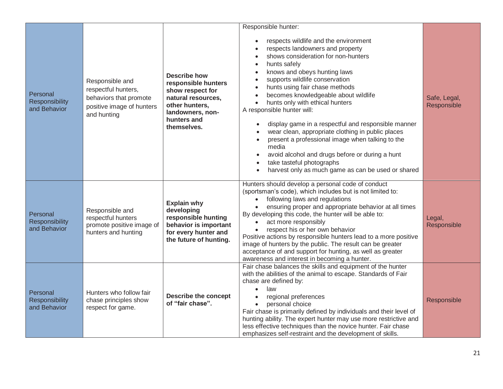|                                            |                                                                                                              |                                                                                                                                                          | Responsible hunter:                                                                                                                                                                                                                                                                                                                                                                                                                                                                                                                                                                                                                                                       |                             |
|--------------------------------------------|--------------------------------------------------------------------------------------------------------------|----------------------------------------------------------------------------------------------------------------------------------------------------------|---------------------------------------------------------------------------------------------------------------------------------------------------------------------------------------------------------------------------------------------------------------------------------------------------------------------------------------------------------------------------------------------------------------------------------------------------------------------------------------------------------------------------------------------------------------------------------------------------------------------------------------------------------------------------|-----------------------------|
| Personal<br>Responsibility<br>and Behavior | Responsible and<br>respectful hunters,<br>behaviors that promote<br>positive image of hunters<br>and hunting | <b>Describe how</b><br>responsible hunters<br>show respect for<br>natural resources,<br>other hunters,<br>landowners, non-<br>hunters and<br>themselves. | respects wildlife and the environment<br>respects landowners and property<br>shows consideration for non-hunters<br>hunts safely<br>knows and obeys hunting laws<br>supports wildlife conservation<br>hunts using fair chase methods<br>becomes knowledgeable about wildlife<br>hunts only with ethical hunters<br>$\bullet$<br>A responsible hunter will:<br>display game in a respectful and responsible manner<br>wear clean, appropriate clothing in public places<br>present a professional image when talking to the<br>media<br>avoid alcohol and drugs before or during a hunt<br>take tasteful photographs<br>harvest only as much game as can be used or shared | Safe, Legal,<br>Responsible |
| Personal<br>Responsibility<br>and Behavior | Responsible and<br>respectful hunters<br>promote positive image of<br>hunters and hunting                    | <b>Explain why</b><br>developing<br>responsible hunting<br>behavior is important<br>for every hunter and<br>the future of hunting.                       | Hunters should develop a personal code of conduct<br>(sportsman's code), which includes but is not limited to:<br>following laws and regulations<br>ensuring proper and appropriate behavior at all times<br>$\bullet$<br>By developing this code, the hunter will be able to:<br>act more responsibly<br>$\bullet$<br>respect his or her own behavior<br>$\bullet$<br>Positive actions by responsible hunters lead to a more positive<br>image of hunters by the public. The result can be greater<br>acceptance of and support for hunting, as well as greater<br>awareness and interest in becoming a hunter.                                                          | Legal,<br>Responsible       |
| Personal<br>Responsibility<br>and Behavior | Hunters who follow fair<br>chase principles show<br>respect for game.                                        | <b>Describe the concept</b><br>of "fair chase".                                                                                                          | Fair chase balances the skills and equipment of the hunter<br>with the abilities of the animal to escape. Standards of Fair<br>chase are defined by:<br>law<br>$\bullet$<br>regional preferences<br>personal choice<br>Fair chase is primarily defined by individuals and their level of<br>hunting ability. The expert hunter may use more restrictive and<br>less effective techniques than the novice hunter. Fair chase<br>emphasizes self-restraint and the development of skills.                                                                                                                                                                                   | Responsible                 |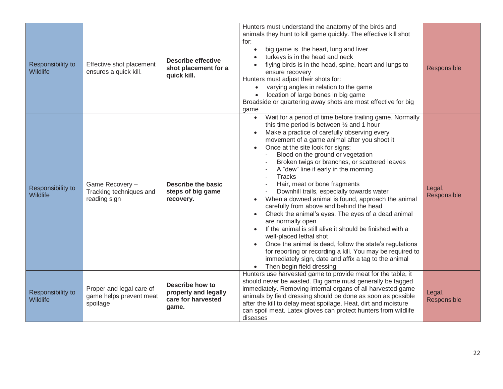| Responsibility to<br>Wildlife | Effective shot placement<br>ensures a quick kill.               | <b>Describe effective</b><br>shot placement for a<br>quick kill.       | Hunters must understand the anatomy of the birds and<br>animals they hunt to kill game quickly. The effective kill shot<br>for:<br>big game is the heart, lung and liver<br>$\bullet$<br>turkeys is in the head and neck<br>flying birds is in the head, spine, heart and lungs to<br>ensure recovery<br>Hunters must adjust their shots for:<br>varying angles in relation to the game<br>$\bullet$<br>location of large bones in big game<br>$\bullet$<br>Broadside or quartering away shots are most effective for big<br>game                                                                                                                                                                                                                                                                                                                                                                                                                                                                         | Responsible           |
|-------------------------------|-----------------------------------------------------------------|------------------------------------------------------------------------|-----------------------------------------------------------------------------------------------------------------------------------------------------------------------------------------------------------------------------------------------------------------------------------------------------------------------------------------------------------------------------------------------------------------------------------------------------------------------------------------------------------------------------------------------------------------------------------------------------------------------------------------------------------------------------------------------------------------------------------------------------------------------------------------------------------------------------------------------------------------------------------------------------------------------------------------------------------------------------------------------------------|-----------------------|
| Responsibility to<br>Wildlife | Game Recovery -<br>Tracking techniques and<br>reading sign      | <b>Describe the basic</b><br>steps of big game<br>recovery.            | Wait for a period of time before trailing game. Normally<br>$\bullet$<br>this time period is between 1/2 and 1 hour<br>Make a practice of carefully observing every<br>movement of a game animal after you shoot it<br>Once at the site look for signs:<br>$\bullet$<br>Blood on the ground or vegetation<br>Broken twigs or branches, or scattered leaves<br>A "dew" line if early in the morning<br><b>Tracks</b><br>$\sim$<br>Hair, meat or bone fragments<br>Downhill trails, especially towards water<br>When a downed animal is found, approach the animal<br>$\bullet$<br>carefully from above and behind the head<br>Check the animal's eyes. The eyes of a dead animal<br>are normally open<br>If the animal is still alive it should be finished with a<br>well-placed lethal shot<br>Once the animal is dead, follow the state's regulations<br>for reporting or recording a kill. You may be required to<br>immediately sign, date and affix a tag to the animal<br>Then begin field dressing | Legal,<br>Responsible |
| Responsibility to<br>Wildlife | Proper and legal care of<br>game helps prevent meat<br>spoilage | Describe how to<br>properly and legally<br>care for harvested<br>game. | Hunters use harvested game to provide meat for the table, it<br>should never be wasted. Big game must generally be tagged<br>immediately. Removing internal organs of all harvested game<br>animals by field dressing should be done as soon as possible<br>after the kill to delay meat spoilage. Heat, dirt and moisture<br>can spoil meat. Latex gloves can protect hunters from wildlife<br>diseases                                                                                                                                                                                                                                                                                                                                                                                                                                                                                                                                                                                                  | Legal,<br>Responsible |